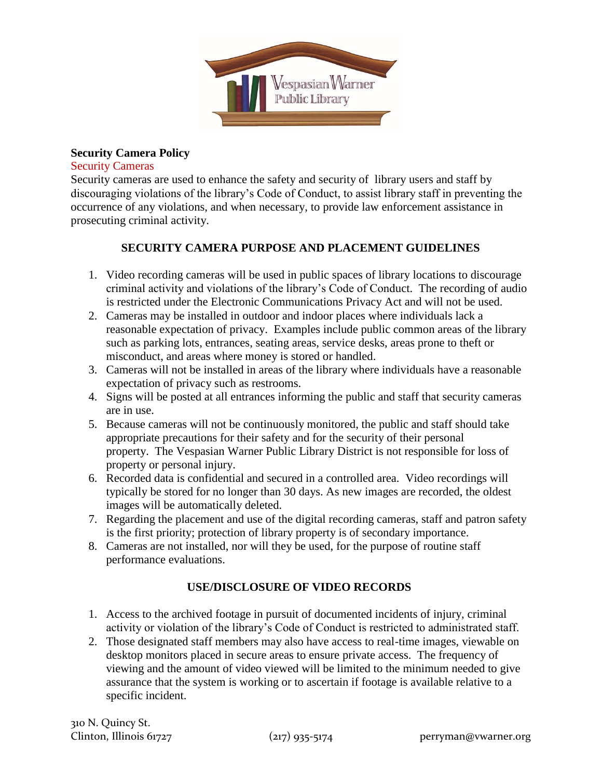

#### **Security Camera Policy**

#### Security Cameras

Security cameras are used to enhance the safety and security of library users and staff by discouraging violations of the library's Code of Conduct, to assist library staff in preventing the occurrence of any violations, and when necessary, to provide law enforcement assistance in prosecuting criminal activity.

# **SECURITY CAMERA PURPOSE AND PLACEMENT GUIDELINES**

- 1. Video recording cameras will be used in public spaces of library locations to discourage criminal activity and violations of the library's Code of Conduct. The recording of audio is restricted under the Electronic Communications Privacy Act and will not be used.
- 2. Cameras may be installed in outdoor and indoor places where individuals lack a reasonable expectation of privacy. Examples include public common areas of the library such as parking lots, entrances, seating areas, service desks, areas prone to theft or misconduct, and areas where money is stored or handled.
- 3. Cameras will not be installed in areas of the library where individuals have a reasonable expectation of privacy such as restrooms.
- 4. Signs will be posted at all entrances informing the public and staff that security cameras are in use.
- 5. Because cameras will not be continuously monitored, the public and staff should take appropriate precautions for their safety and for the security of their personal property. The Vespasian Warner Public Library District is not responsible for loss of property or personal injury.
- 6. Recorded data is confidential and secured in a controlled area. Video recordings will typically be stored for no longer than 30 days. As new images are recorded, the oldest images will be automatically deleted.
- 7. Regarding the placement and use of the digital recording cameras, staff and patron safety is the first priority; protection of library property is of secondary importance.
- 8. Cameras are not installed, nor will they be used, for the purpose of routine staff performance evaluations.

## **USE/DISCLOSURE OF VIDEO RECORDS**

- 1. Access to the archived footage in pursuit of documented incidents of injury, criminal activity or violation of the library's Code of Conduct is restricted to administrated staff.
- 2. Those designated staff members may also have access to real-time images, viewable on desktop monitors placed in secure areas to ensure private access. The frequency of viewing and the amount of video viewed will be limited to the minimum needed to give assurance that the system is working or to ascertain if footage is available relative to a specific incident.